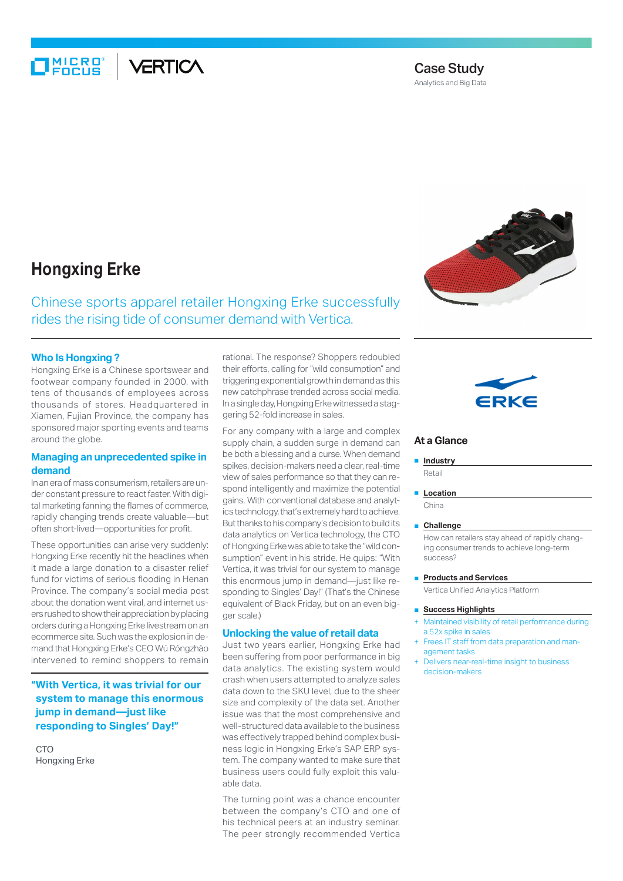## MIC<mark>RO°</mark><br>FOCUS **ERTICA**

# Case Study

Analytics and Big Data

# **Hongxing Erke**

Chinese sports apparel retailer Hongxing Erke successfully rides the rising tide of consumer demand with Vertica.

## **Who Is Hongxing ?**

Hongxing Erke is a Chinese sportswear and footwear company founded in 2000, with tens of thousands of employees across thousands of stores. Headquartered in Xiamen, Fujian Province, the company has sponsored major sporting events and teams around the globe.

## **Managing an unprecedented spike in demand**

In an era of mass consumerism, retailers are under constant pressure to react faster. With digital marketing fanning the flames of commerce, rapidly changing trends create valuable—but often short-lived—opportunities for profit.

These opportunities can arise very suddenly: Hongxing Erke recently hit the headlines when it made a large donation to a disaster relief fund for victims of serious flooding in Henan Province. The company's social media post about the donation went viral, and internet users rushed to show their appreciation by placing orders during a Hongxing Erke livestream on an ecommerce site. Such was the explosion in demand that Hongxing Erke's CEO Wú Róngzhào intervened to remind shoppers to remain

**"With Vertica, it was trivial for our system to manage this enormous jump in demand—just like responding to Singles' Day!"**

C<sub>TO</sub> Hongxing Erke rational. The response? Shoppers redoubled their efforts, calling for "wild consumption" and triggering exponential growth in demand as this new catchphrase trended across social media. In a single day, Hongxing Erke witnessed a staggering 52-fold increase in sales.

For any company with a large and complex supply chain, a sudden surge in demand can be both a blessing and a curse. When demand spikes, decision-makers need a clear, real-time view of sales performance so that they can respond intelligently and maximize the potential gains. With conventional database and analytics technology, that's extremely hard to achieve. But thanks to his company's decision to build its data analytics on Vertica technology, the CTO of Hongxing Erke was able to take the "wild consumption" event in his stride. He quips: "With Vertica, it was trivial for our system to manage this enormous jump in demand—just like responding to Singles' Day!" (That's the Chinese equivalent of Black Friday, but on an even bigger scale)

#### **Unlocking the value of retail data**

Just two years earlier, Hongxing Erke had been suffering from poor performance in big data analytics. The existing system would crash when users attempted to analyze sales data down to the SKU level, due to the sheer size and complexity of the data set. Another issue was that the most comprehensive and well-structured data available to the business was effectively trapped behind complex business logic in Hongxing Erke's SAP ERP system. The company wanted to make sure that business users could fully exploit this valuable data.

The turning point was a chance encounter between the company's CTO and one of his technical peers at an industry seminar. The peer strongly recommended Vertica





### **At a Glance**

■ **Industry** Retail

■ **Location** 

China

#### ■ **Challenge**

How can retailers stay ahead of rapidly changing consumer trends to achieve long-term success?

■ **Products and Services** 

Vertica Unified Analytics Platform

- **Success Highlights**
- Maintained visibility of retail performance during a 52x spike in sales
- + Frees IT staff from data preparation and management tasks
- + Delivers near-real-time insight to business decision-makers